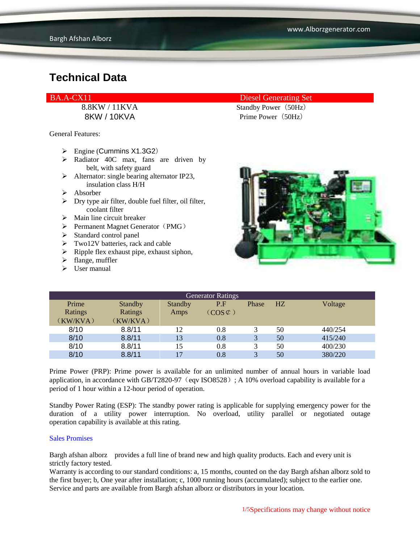General Features:

- $\triangleright$  Engine (Cummins X1.3G2)
- $\triangleright$  Radiator 40C max, fans are driven by belt, with safety guard
- $\triangleright$  Alternator: single bearing alternator IP23, insulation class H/H
- $\triangleright$  Absorber
- $\triangleright$  Dry type air filter, double fuel filter, oil filter, coolant filter
- $\triangleright$  Main line circuit breaker
- $\triangleright$  Permanent Magnet Generator (PMG)
- > Standard control panel
- $\triangleright$  Two12V batteries, rack and cable
- $\triangleright$  Ripple flex exhaust pipe, exhaust siphon,
- $\triangleright$  flange, muffler
- $\triangleright$  User manual

### BA.A-CX11 Diesel Generating Set

8.8KW / 11KVA Standby Power (50Hz) 8KW / 10KVA Prime Power(50Hz)



| <b>Generator Ratings</b> |                |                |                     |              |    |         |
|--------------------------|----------------|----------------|---------------------|--------------|----|---------|
| Prime                    | <b>Standby</b> | <b>Standby</b> | P.F                 | Phase        | HZ | Voltage |
| Ratings                  | Ratings        | Amps           | $(COS \mathcal{L})$ |              |    |         |
| (KW/KVA)                 | (KW/KVA)       |                |                     |              |    |         |
| 8/10                     | 8.8/11         | 12             | 0.8                 |              | 50 | 440/254 |
| 8/10                     | 8.8/11         | 13             | 0.8                 | 3            | 50 | 415/240 |
| 8/10                     | 8.8/11         | 15             | 0.8                 |              | 50 | 400/230 |
| 8/10                     | 8.8/11         | 17             | 0.8                 | $\mathbf{R}$ | 50 | 380/220 |

Prime Power (PRP): Prime power is available for an unlimited number of annual hours in variable load application, in accordance with GB/T2820-97 (eqv ISO8528); A 10% overload capability is available for a period of 1 hour within a 12-hour period of operation.

Standby Power Rating (ESP): The standby power rating is applicable for supplying emergency power for the duration of a utility power interruption. No overload, utility parallel or negotiated outage operation capability is available at this rating.

#### Sales Promises

Bargh afshan alborz provides a full line of brand new and high quality products. Each and every unit is strictly factory tested.

Warranty is according to our standard conditions: a, 15 months, counted on the day Bargh afshan alborz sold to the first buyer; b, One year after installation; c, 1000 running hours (accumulated); subject to the earlier one. Service and parts are available from Bargh afshan alborz or distributors in your location.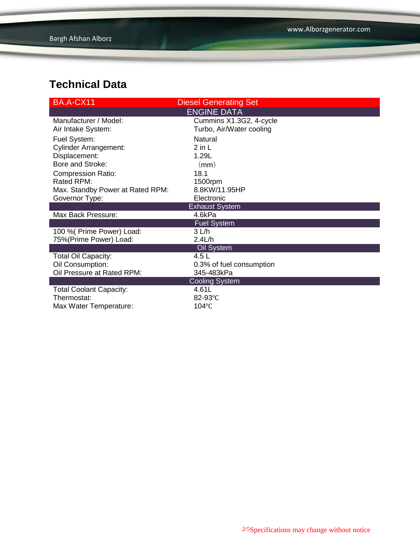| BA.A-CX11                        | <b>Diesel Generating Set</b> |  |  |  |
|----------------------------------|------------------------------|--|--|--|
|                                  | <b>ENGINE DATA</b>           |  |  |  |
| Manufacturer / Model:            | Cummins X1.3G2, 4-cycle      |  |  |  |
| Air Intake System:               | Turbo, Air/Water cooling     |  |  |  |
| Fuel System:                     | Natural                      |  |  |  |
| <b>Cylinder Arrangement:</b>     | $2$ in $L$                   |  |  |  |
| Displacement:                    | 1.29L                        |  |  |  |
| Bore and Stroke:                 | (mm)                         |  |  |  |
| <b>Compression Ratio:</b>        | 18.1                         |  |  |  |
| Rated RPM:                       | 1500rpm                      |  |  |  |
| Max. Standby Power at Rated RPM: | 8.8KW/11.95HP                |  |  |  |
| Governor Type:                   | Electronic                   |  |  |  |
| <b>Exhaust System</b>            |                              |  |  |  |
| Max Back Pressure:               | 4.6kPa                       |  |  |  |
|                                  | <b>Fuel System</b>           |  |  |  |
| 100 % (Prime Power) Load:        | 3 L/h                        |  |  |  |
| 75%(Prime Power) Load:           | 2.4L/h                       |  |  |  |
|                                  | Oil System                   |  |  |  |
| <b>Total Oil Capacity:</b>       | 4.5 L                        |  |  |  |
| Oil Consumption:                 | 0.3% of fuel consumption     |  |  |  |
|                                  |                              |  |  |  |
| Oil Pressure at Rated RPM:       | 345-483kPa                   |  |  |  |
|                                  | <b>Cooling System</b>        |  |  |  |
| <b>Total Coolant Capacity:</b>   | 4.61L                        |  |  |  |
| Thermostat:                      | 82-93°C                      |  |  |  |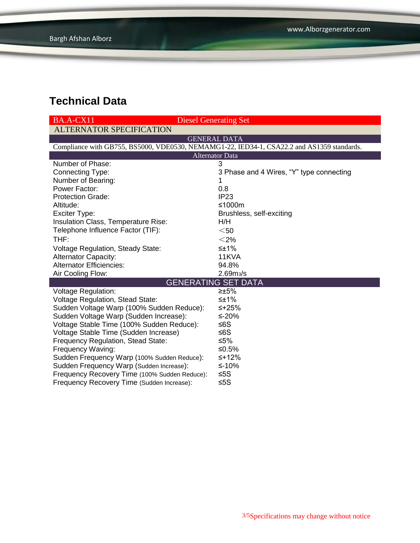| $BA.A-CX11$<br><b>Diesel Generating Set</b>                                                |                                          |  |  |  |  |
|--------------------------------------------------------------------------------------------|------------------------------------------|--|--|--|--|
| <b>ALTERNATOR SPECIFICATION</b>                                                            |                                          |  |  |  |  |
| <b>GENERAL DATA</b>                                                                        |                                          |  |  |  |  |
| Compliance with GB755, BS5000, VDE0530, NEMAMG1-22, IED34-1, CSA22.2 and AS1359 standards. |                                          |  |  |  |  |
| <b>Alternator Data</b>                                                                     |                                          |  |  |  |  |
| Number of Phase:                                                                           | 3                                        |  |  |  |  |
| Connecting Type:                                                                           | 3 Phase and 4 Wires, "Y" type connecting |  |  |  |  |
| Number of Bearing:                                                                         | 1                                        |  |  |  |  |
| Power Factor:                                                                              | 0.8                                      |  |  |  |  |
| <b>Protection Grade:</b>                                                                   | IP <sub>23</sub>                         |  |  |  |  |
| Altitude:                                                                                  | ≤1000m                                   |  |  |  |  |
| Exciter Type:                                                                              | Brushless, self-exciting                 |  |  |  |  |
| Insulation Class, Temperature Rise:                                                        | H/H                                      |  |  |  |  |
| Telephone Influence Factor (TIF):                                                          | $50$                                     |  |  |  |  |
| THF:                                                                                       | $<$ 2%                                   |  |  |  |  |
| <b>Voltage Regulation, Steady State:</b>                                                   | $\leq \pm 1\%$                           |  |  |  |  |
| <b>Alternator Capacity:</b>                                                                | 11KVA                                    |  |  |  |  |
| <b>Alternator Efficiencies:</b>                                                            | 94.8%                                    |  |  |  |  |
| Air Cooling Flow:                                                                          | 2.69 <sub>m3</sub> /s                    |  |  |  |  |
| <b>GENERATING SET DATA</b>                                                                 |                                          |  |  |  |  |
| <b>Voltage Regulation:</b>                                                                 | $\geq \pm 5\%$                           |  |  |  |  |
| <b>Voltage Regulation, Stead State:</b>                                                    | ≤±1%                                     |  |  |  |  |
| Sudden Voltage Warp (100% Sudden Reduce):                                                  | ≤+25%                                    |  |  |  |  |
| Sudden Voltage Warp (Sudden Increase):                                                     | ≤-20%                                    |  |  |  |  |
| Voltage Stable Time (100% Sudden Reduce):                                                  | ≤6S                                      |  |  |  |  |
| Voltage Stable Time (Sudden Increase)                                                      | $≤6S$                                    |  |  |  |  |
| Frequency Regulation, Stead State:                                                         | $≤5%$                                    |  |  |  |  |
| Frequency Waving:                                                                          | ≤0.5%                                    |  |  |  |  |
| Sudden Frequency Warp (100% Sudden Reduce):                                                | $≤+12%$                                  |  |  |  |  |
| Sudden Frequency Warp (Sudden Increase):                                                   | $≤-10%$                                  |  |  |  |  |
| Frequency Recovery Time (100% Sudden Reduce):                                              | ≤5 $S$                                   |  |  |  |  |
| Frequency Recovery Time (Sudden Increase):                                                 | $≤5S$                                    |  |  |  |  |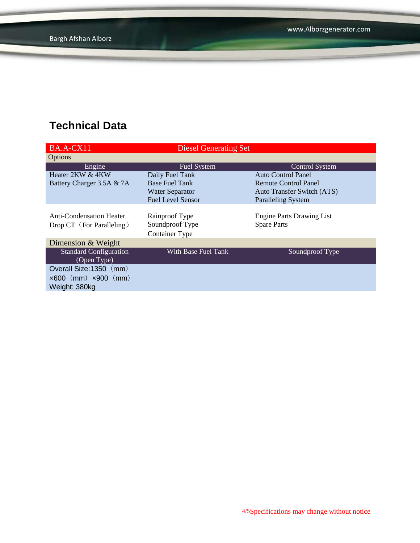| BA.A-CX11                           | <b>Diesel Generating Set</b> |                                  |  |
|-------------------------------------|------------------------------|----------------------------------|--|
| Options                             |                              |                                  |  |
| Engine                              | <b>Fuel System</b>           | <b>Control System</b>            |  |
| Heater 2KW & 4KW                    | Daily Fuel Tank              | <b>Auto Control Panel</b>        |  |
| Battery Charger 3.5A & 7A           | <b>Base Fuel Tank</b>        | Remote Control Panel             |  |
|                                     | <b>Water Separator</b>       | Auto Transfer Switch (ATS)       |  |
|                                     | <b>Fuel Level Sensor</b>     | <b>Paralleling System</b>        |  |
|                                     |                              |                                  |  |
| <b>Anti-Condensation Heater</b>     | Rainproof Type               | <b>Engine Parts Drawing List</b> |  |
| Drop CT (For Paralleling)           | Soundproof Type              | <b>Spare Parts</b>               |  |
|                                     | <b>Container Type</b>        |                                  |  |
| Dimension & Weight                  |                              |                                  |  |
| <b>Standard Configuration</b>       | <b>With Base Fuel Tank</b>   | Soundproof Type                  |  |
| (Open Type)                         |                              |                                  |  |
| Overall Size: 1350 (mm)             |                              |                                  |  |
| $\times 600$ (mm) $\times 900$ (mm) |                              |                                  |  |
| Weight: 380kg                       |                              |                                  |  |
|                                     |                              |                                  |  |